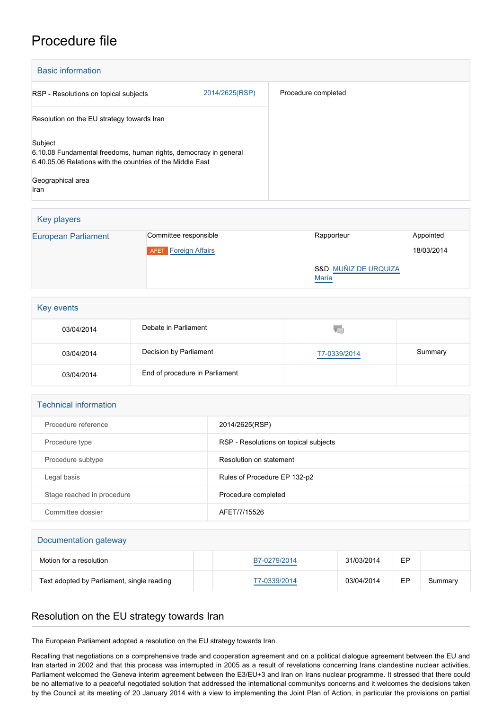## Procedure file

| <b>Basic information</b>                                                                                                                  |                |                     |  |  |
|-------------------------------------------------------------------------------------------------------------------------------------------|----------------|---------------------|--|--|
| RSP - Resolutions on topical subjects                                                                                                     | 2014/2625(RSP) | Procedure completed |  |  |
| Resolution on the EU strategy towards Iran                                                                                                |                |                     |  |  |
| Subject<br>6.10.08 Fundamental freedoms, human rights, democracy in general<br>6.40.05.06 Relations with the countries of the Middle East |                |                     |  |  |
| Geographical area<br>Iran                                                                                                                 |                |                     |  |  |

| Key players                |                                       |                               |            |
|----------------------------|---------------------------------------|-------------------------------|------------|
| <b>European Parliament</b> | Committee responsible                 | Rapporteur                    | Appointed  |
|                            | <b>Foreign Affairs</b><br><b>AFET</b> |                               | 18/03/2014 |
|                            |                                       | S&D MUÑIZ DE URQUIZA<br>María |            |

| Key events |                                |              |         |  |
|------------|--------------------------------|--------------|---------|--|
| 03/04/2014 | Debate in Parliament           | 46.          |         |  |
| 03/04/2014 | Decision by Parliament         | T7-0339/2014 | Summary |  |
| 03/04/2014 | End of procedure in Parliament |              |         |  |

| <b>Technical information</b> |                                       |
|------------------------------|---------------------------------------|
| Procedure reference          | 2014/2625(RSP)                        |
| Procedure type               | RSP - Resolutions on topical subjects |
| Procedure subtype            | Resolution on statement               |
| Legal basis                  | Rules of Procedure EP 132-p2          |
| Stage reached in procedure   | Procedure completed                   |
| Committee dossier            | AFET/7/15526                          |
|                              |                                       |
| Documentation gateway        |                                       |

| Documentation gateway                      |              |            |    |         |  |
|--------------------------------------------|--------------|------------|----|---------|--|
| Motion for a resolution                    | B7-0279/2014 | 31/03/2014 | EP |         |  |
| Text adopted by Parliament, single reading | T7-0339/2014 | 03/04/2014 | EP | Summary |  |

## Resolution on the EU strategy towards Iran

The European Parliament adopted a resolution on the EU strategy towards Iran.

Recalling that negotiations on a comprehensive trade and cooperation agreement and on a political dialogue agreement between the EU and Iran started in 2002 and that this process was interrupted in 2005 as a result of revelations concerning Irans clandestine nuclear activities, Parliament welcomed the Geneva interim agreement between the E3/EU+3 and Iran on Irans nuclear programme. It stressed that there could be no alternative to a peaceful negotiated solution that addressed the international communitys concerns and it welcomes the decisions taken by the Council at its meeting of 20 January 2014 with a view to implementing the Joint Plan of Action, in particular the provisions on partial